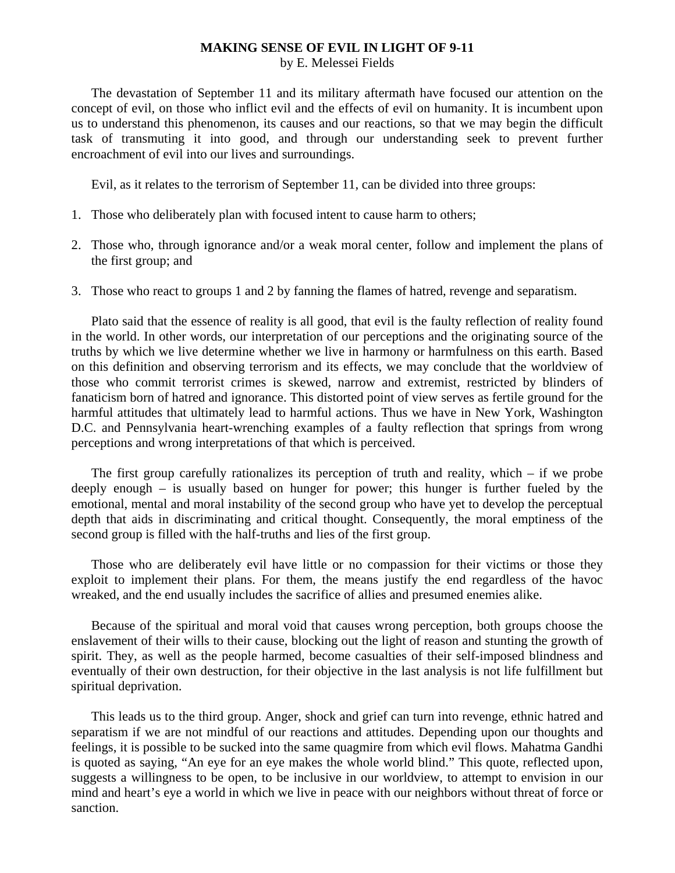## **MAKING SENSE OF EVIL IN LIGHT OF 9-11**

by E. Melessei Fields

 The devastation of September 11 and its military aftermath have focused our attention on the concept of evil, on those who inflict evil and the effects of evil on humanity. It is incumbent upon us to understand this phenomenon, its causes and our reactions, so that we may begin the difficult task of transmuting it into good, and through our understanding seek to prevent further encroachment of evil into our lives and surroundings.

Evil, as it relates to the terrorism of September 11, can be divided into three groups:

- 1. Those who deliberately plan with focused intent to cause harm to others;
- 2. Those who, through ignorance and/or a weak moral center, follow and implement the plans of the first group; and
- 3. Those who react to groups 1 and 2 by fanning the flames of hatred, revenge and separatism.

 Plato said that the essence of reality is all good, that evil is the faulty reflection of reality found in the world. In other words, our interpretation of our perceptions and the originating source of the truths by which we live determine whether we live in harmony or harmfulness on this earth. Based on this definition and observing terrorism and its effects, we may conclude that the worldview of those who commit terrorist crimes is skewed, narrow and extremist, restricted by blinders of fanaticism born of hatred and ignorance. This distorted point of view serves as fertile ground for the harmful attitudes that ultimately lead to harmful actions. Thus we have in New York, Washington D.C. and Pennsylvania heart-wrenching examples of a faulty reflection that springs from wrong perceptions and wrong interpretations of that which is perceived.

 The first group carefully rationalizes its perception of truth and reality, which – if we probe deeply enough – is usually based on hunger for power; this hunger is further fueled by the emotional, mental and moral instability of the second group who have yet to develop the perceptual depth that aids in discriminating and critical thought. Consequently, the moral emptiness of the second group is filled with the half-truths and lies of the first group.

 Those who are deliberately evil have little or no compassion for their victims or those they exploit to implement their plans. For them, the means justify the end regardless of the havoc wreaked, and the end usually includes the sacrifice of allies and presumed enemies alike.

 Because of the spiritual and moral void that causes wrong perception, both groups choose the enslavement of their wills to their cause, blocking out the light of reason and stunting the growth of spirit. They, as well as the people harmed, become casualties of their self-imposed blindness and eventually of their own destruction, for their objective in the last analysis is not life fulfillment but spiritual deprivation.

 This leads us to the third group. Anger, shock and grief can turn into revenge, ethnic hatred and separatism if we are not mindful of our reactions and attitudes. Depending upon our thoughts and feelings, it is possible to be sucked into the same quagmire from which evil flows. Mahatma Gandhi is quoted as saying, "An eye for an eye makes the whole world blind." This quote, reflected upon, suggests a willingness to be open, to be inclusive in our worldview, to attempt to envision in our mind and heart's eye a world in which we live in peace with our neighbors without threat of force or sanction.